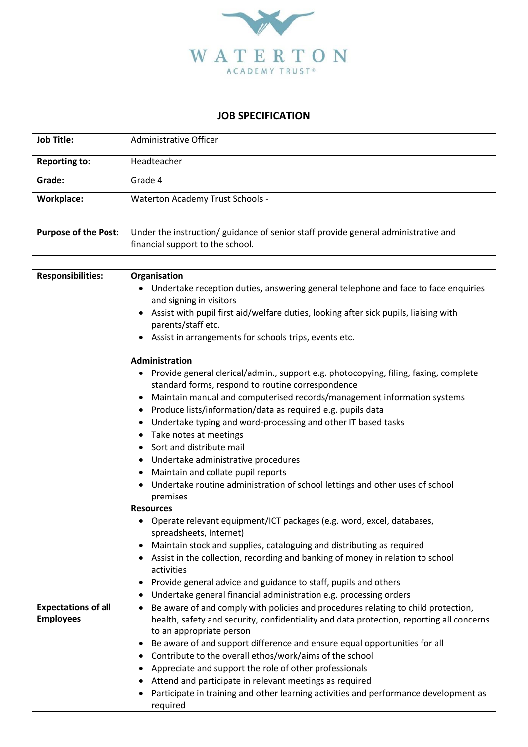

## **JOB SPECIFICATION**

| <b>Job Title:</b>    | Administrative Officer                  |
|----------------------|-----------------------------------------|
| <b>Reporting to:</b> | Headteacher                             |
| Grade:               | Grade 4                                 |
| <b>Workplace:</b>    | <b>Waterton Academy Trust Schools -</b> |

| <b>Purpose of the Post:</b> Under the instruction/ guidance of senior staff provide general administrative and |
|----------------------------------------------------------------------------------------------------------------|
| financial support to the school.                                                                               |

| <b>Responsibilities:</b>   | Organisation                                                                                   |
|----------------------------|------------------------------------------------------------------------------------------------|
|                            | • Undertake reception duties, answering general telephone and face to face enquiries           |
|                            | and signing in visitors                                                                        |
|                            | Assist with pupil first aid/welfare duties, looking after sick pupils, liaising with           |
|                            | parents/staff etc.                                                                             |
|                            | Assist in arrangements for schools trips, events etc.                                          |
|                            | Administration                                                                                 |
|                            | • Provide general clerical/admin., support e.g. photocopying, filing, faxing, complete         |
|                            | standard forms, respond to routine correspondence                                              |
|                            | Maintain manual and computerised records/management information systems<br>$\bullet$           |
|                            | Produce lists/information/data as required e.g. pupils data<br>$\bullet$                       |
|                            | Undertake typing and word-processing and other IT based tasks                                  |
|                            | Take notes at meetings<br>$\bullet$                                                            |
|                            | Sort and distribute mail<br>$\bullet$                                                          |
|                            | Undertake administrative procedures<br>$\bullet$                                               |
|                            | Maintain and collate pupil reports<br>$\bullet$                                                |
|                            | Undertake routine administration of school lettings and other uses of school                   |
|                            | premises                                                                                       |
|                            | <b>Resources</b>                                                                               |
|                            | • Operate relevant equipment/ICT packages (e.g. word, excel, databases,                        |
|                            | spreadsheets, Internet)                                                                        |
|                            | Maintain stock and supplies, cataloguing and distributing as required                          |
|                            | Assist in the collection, recording and banking of money in relation to school                 |
|                            | activities                                                                                     |
|                            | Provide general advice and guidance to staff, pupils and others<br>٠                           |
|                            | Undertake general financial administration e.g. processing orders                              |
| <b>Expectations of all</b> | Be aware of and comply with policies and procedures relating to child protection,<br>$\bullet$ |
| <b>Employees</b>           | health, safety and security, confidentiality and data protection, reporting all concerns       |
|                            | to an appropriate person                                                                       |
|                            | Be aware of and support difference and ensure equal opportunities for all<br>$\bullet$         |
|                            | Contribute to the overall ethos/work/aims of the school<br>$\bullet$                           |
|                            | Appreciate and support the role of other professionals<br>$\bullet$                            |
|                            | Attend and participate in relevant meetings as required<br>$\bullet$                           |
|                            | Participate in training and other learning activities and performance development as           |
|                            | required                                                                                       |